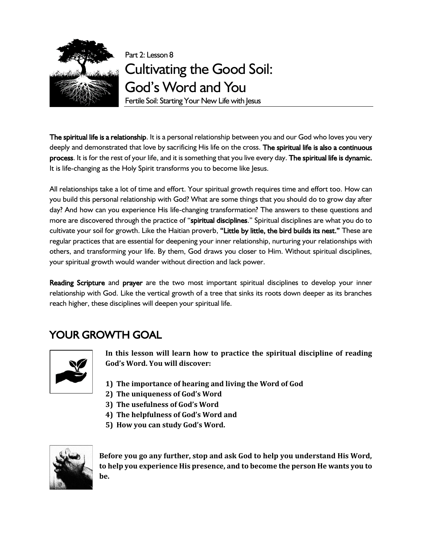

# Part 2: Lesson 8 Cultivating the Good Soil: God's Word and You

Fertile Soil: Starting Your New Life with Jesus

The spiritual life is a relationship. It is a personal relationship between you and our God who loves you very deeply and demonstrated that love by sacrificing His life on the cross. The spiritual life is also a continuous process. It is for the rest of your life, and it is something that you live every day. The spiritual life is dynamic. It is life-changing as the Holy Spirit transforms you to become like Jesus.

All relationships take a lot of time and effort. Your spiritual growth requires time and effort too. How can you build this personal relationship with God? What are some things that you should do to grow day after day? And how can you experience His life-changing transformation? The answers to these questions and more are discovered through the practice of "spiritual disciplines." Spiritual disciplines are what you do to cultivate your soil for growth. Like the Haitian proverb, "Little by little, the bird builds its nest." These are regular practices that are essential for deepening your inner relationship, nurturing your relationships with others, and transforming your life. By them, God draws you closer to Him. Without spiritual disciplines, your spiritual growth would wander without direction and lack power.

Reading Scripture and prayer are the two most important spiritual disciplines to develop your inner relationship with God. Like the vertical growth of a tree that sinks its roots down deeper as its branches reach higher, these disciplines will deepen your spiritual life.

## YOUR GROWTH GOAL



**In this lesson will learn how to practice the spiritual discipline of reading God's Word. You will discover:**

- **1) The importance of hearing and living the Word of God**
- **2) The uniqueness of God's Word**
- **3) The usefulness of God's Word**
- **4) The helpfulness of God's Word and**
- **5) How you can study God's Word.**



**Before you go any further, stop and ask God to help you understand His Word, to help you experience His presence, and to become the person He wants you to be.**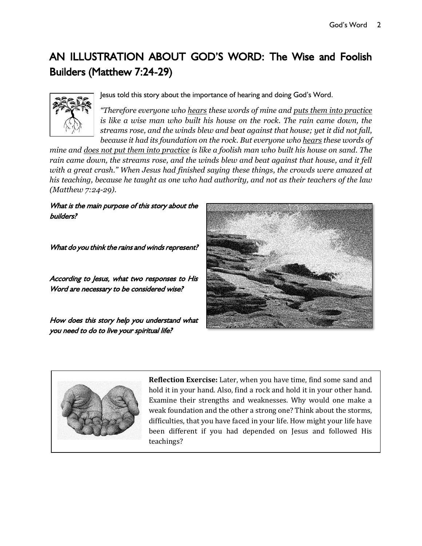## AN ILLUSTRATION ABOUT GOD'S WORD: The Wise and Foolish Builders (Matthew 7:24-29)



Jesus told this story about the importance of hearing and doing God's Word.

*"Therefore everyone who hears these words of mine and puts them into practice is like a wise man who built his house on the rock. The rain came down, the streams rose, and the winds blew and beat against that house; yet it did not fall, because it had its foundation on the rock. But everyone who hears these words of* 

*mine and does not put them into practice is like a foolish man who built his house on sand. The rain came down, the streams rose, and the winds blew and beat against that house, and it fell with a great crash." When Jesus had finished saying these things, the crowds were amazed at his teaching, because he taught as one who had authority, and not as their teachers of the law (Matthew 7:24-29).*

What is the main purpose of this story about the builders?

What do you think the rains and winds represent?

According to Jesus, what two responses to His Word are necessary to be considered wise?

How does this story help you understand what you need to do to live your spiritual life?





**Reflection Exercise:** Later, when you have time, find some sand and hold it in your hand. Also, find a rock and hold it in your other hand. Examine their strengths and weaknesses. Why would one make a weak foundation and the other a strong one? Think about the storms, difficulties, that you have faced in your life. How might your life have been different if you had depended on Jesus and followed His teachings?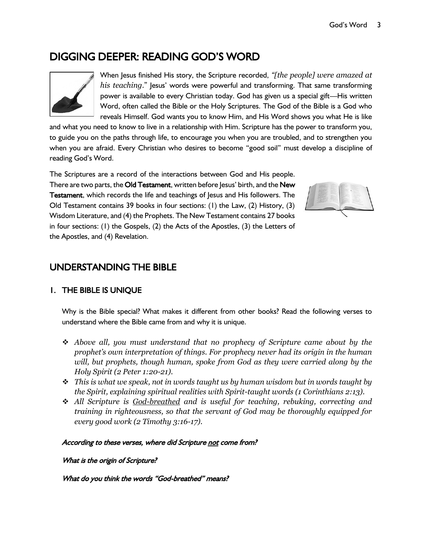### DIGGING DEEPER: READING GOD'S WORD



When Jesus finished His story, the Scripture recorded, *"[the people] were amazed at his teaching*." Jesus' words were powerful and transforming. That same transforming power is available to every Christian today. God has given us a special gift—His written Word, often called the Bible or the Holy Scriptures. The God of the Bible is a God who reveals Himself. God wants you to know Him, and His Word shows you what He is like

and what you need to know to live in a relationship with Him. Scripture has the power to transform you, to guide you on the paths through life, to encourage you when you are troubled, and to strengthen you when you are afraid. Every Christian who desires to become "good soil" must develop a discipline of reading God's Word.

The Scriptures are a record of the interactions between God and His people. There are two parts, the Old Testament, written before Jesus' birth, and the New Testament, which records the life and teachings of Jesus and His followers. The Old Testament contains 39 books in four sections: (1) the Law, (2) History, (3) Wisdom Literature, and (4) the Prophets. The New Testament contains 27 books in four sections: (1) the Gospels, (2) the Acts of the Apostles, (3) the Letters of the Apostles, and (4) Revelation.



### UNDERSTANDING THE BIBLE

#### 1. THE BIBLE IS UNIQUE

Why is the Bible special? What makes it different from other books? Read the following verses to understand where the Bible came from and why it is unique.

- ❖ *Above all, you must understand that no prophecy of Scripture came about by the prophet's own interpretation of things. For prophecy never had its origin in the human will, but prophets, though human, spoke from God as they were carried along by the Holy Spirit (2 Peter 1:20-21).*
- ❖ *This is what we speak, not in words taught us by human wisdom but in words taught by the Spirit, explaining spiritual realities with Spirit-taught words (1 Corinthians 2:13).*
- ❖ *All Scripture is God-breathed and is useful for teaching, rebuking, correcting and training in righteousness, so that the servant of God may be thoroughly equipped for every good work (2 Timothy 3:16-17).*

#### According to these verses, where did Scripture not come from?

What is the origin of Scripture?

What do you think the words "God-breathed" means?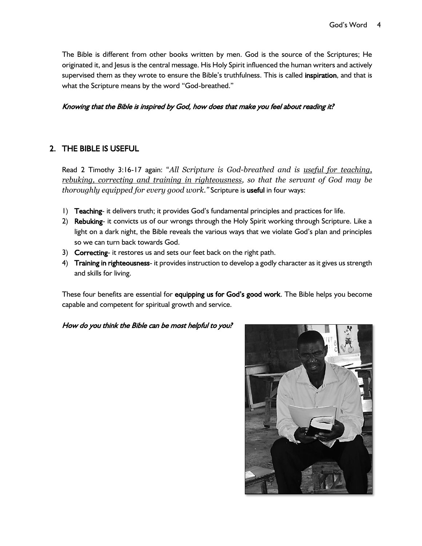The Bible is different from other books written by men. God is the source of the Scriptures; He originated it, and Jesus is the central message. His Holy Spirit influenced the human writers and actively supervised them as they wrote to ensure the Bible's truthfulness. This is called inspiration, and that is what the Scripture means by the word "God-breathed."

#### Knowing that the Bible is inspired by God, how does that make you feel about reading it?

#### 2. THE BIBLE IS USEFUL

Read 2 Timothy 3:16-17 again: "*All Scripture is God-breathed and is useful for teaching, rebuking, correcting and training in righteousness, so that the servant of God may be thoroughly equipped for every good work."* Scripture is useful in four ways:

- 1) Teaching- it delivers truth; it provides God's fundamental principles and practices for life.
- 2) Rebuking- it convicts us of our wrongs through the Holy Spirit working through Scripture. Like a light on a dark night, the Bible reveals the various ways that we violate God's plan and principles so we can turn back towards God.
- 3) Correcting- it restores us and sets our feet back on the right path.
- 4) Training in righteousness- it provides instruction to develop a godly character as it gives us strength and skills for living.

These four benefits are essential for equipping us for God's good work. The Bible helps you become capable and competent for spiritual growth and service.

#### How do you think the Bible can be most helpful to you?

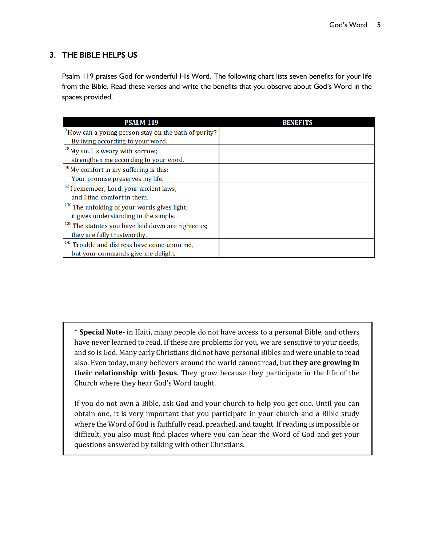#### 3. THE BIBLE HELPS US

 $\overline{a}$ 

Psalm 119 praises God for wonderful His Word. The following chart lists seven benefits for your life from the Bible. Read these verses and write the benefits that you observe about God's Word in the spaces provided.

| <b>PSALM 119</b>                                              | <b>BENEFITS</b> |
|---------------------------------------------------------------|-----------------|
| $^{9}$ How can a young person stay on the path of purity?     |                 |
| By living according to your word.                             |                 |
| $^{28}$ My soul is weary with sorrow;                         |                 |
| strengthen me according to your word.                         |                 |
| $\frac{50}{3}$ My comfort in my suffering is this:            |                 |
| Your promise preserves my life.                               |                 |
| $52$ I remember, Lord, your ancient laws,                     |                 |
| and I find comfort in them.                                   |                 |
| $130$ The unfolding of your words gives light;                |                 |
| it gives understanding to the simple.                         |                 |
| <sup>138</sup> The statutes you have laid down are righteous; |                 |
| they are fully trustworthy.                                   |                 |
| <sup>143</sup> Trouble and distress have come upon me,        |                 |
| but your commands give me delight.                            |                 |

\* **Special Note-** in Haiti, many people do not have access to a personal Bible, and others have never learned to read. If these are problems for you, we are sensitive to your needs, and so is God. Many early Christians did not have personal Bibles and were unable to read also. Even today, many believers around the world cannot read, but **they are growing in their relationship with Jesus**. They grow because they participate in the life of the Church where they hear God's Word taught.

If you do not own a Bible, ask God and your church to help you get one. Until you can obtain one, it is very important that you participate in your church and a Bible study where the Word of God is faithfully read, preached, and taught. If reading is impossible or difficult, you also must find places where you can hear the Word of God and get your questions answered by talking with other Christians.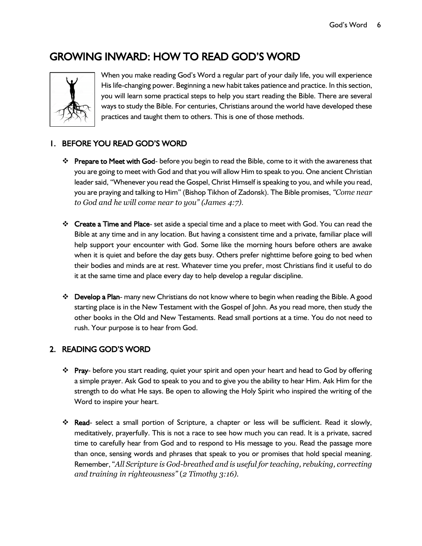## GROWING INWARD: HOW TO READ GOD'S WORD



When you make reading God's Word a regular part of your daily life, you will experience His life-changing power. Beginning a new habit takes patience and practice. In this section, you will learn some practical steps to help you start reading the Bible. There are several ways to study the Bible. For centuries, Christians around the world have developed these practices and taught them to others. This is one of those methods.

#### 1. BEFORE YOU READ GOD'S WORD

- ❖ Prepare to Meet with God- before you begin to read the Bible, come to it with the awareness that you are going to meet with God and that you will allow Him to speak to you. One ancient Christian leader said, "Whenever you read the Gospel, Christ Himself is speaking to you, and while you read, you are praying and talking to Him" (Bishop Tikhon of Zadonsk). The Bible promises, *"Come near to God and he will come near to you" (James 4:7)*.
- ❖ Create a Time and Place- set aside a special time and a place to meet with God. You can read the Bible at any time and in any location. But having a consistent time and a private, familiar place will help support your encounter with God. Some like the morning hours before others are awake when it is quiet and before the day gets busy. Others prefer nighttime before going to bed when their bodies and minds are at rest. Whatever time you prefer, most Christians find it useful to do it at the same time and place every day to help develop a regular discipline.
- ❖ Develop a Plan- many new Christians do not know where to begin when reading the Bible. A good starting place is in the New Testament with the Gospel of John. As you read more, then study the other books in the Old and New Testaments. Read small portions at a time. You do not need to rush. Your purpose is to hear from God.

#### 2. READING GOD'S WORD

- ❖ Pray- before you start reading, quiet your spirit and open your heart and head to God by offering a simple prayer. Ask God to speak to you and to give you the ability to hear Him. Ask Him for the strength to do what He says. Be open to allowing the Holy Spirit who inspired the writing of the Word to inspire your heart.
- ❖ Read- select a small portion of Scripture, a chapter or less will be sufficient. Read it slowly, meditatively, prayerfully. This is not a race to see how much you can read. It is a private, sacred time to carefully hear from God and to respond to His message to you. Read the passage more than once, sensing words and phrases that speak to you or promises that hold special meaning. Remember, "*All Scripture is God-breathed and is useful for teaching, rebuking, correcting and training in righteousness"* (*2 Timothy 3:16).*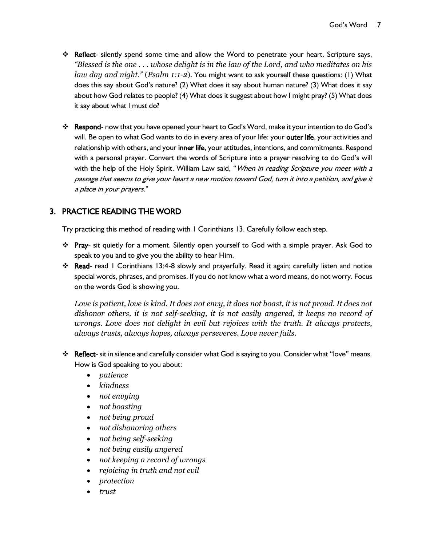- ❖ Reflect- silently spend some time and allow the Word to penetrate your heart. Scripture says, *"Blessed is the one . . . whose delight is in the law of the Lord, and who meditates on his law day and night."* (*Psalm 1:1-2*). You might want to ask yourself these questions: (1) What does this say about God's nature? (2) What does it say about human nature? (3) What does it say about how God relates to people? (4) What does it suggest about how I might pray? (5) What does it say about what I must do?
- ❖ Respond- now that you have opened your heart to God's Word, make it your intention to do God's will. Be open to what God wants to do in every area of your life: your outer life, your activities and relationship with others, and your inner life, your attitudes, intentions, and commitments. Respond with a personal prayer. Convert the words of Scripture into a prayer resolving to do God's will with the help of the Holy Spirit. William Law said, "When in reading Scripture you meet with a passage that seems to give your heart a new motion toward God, turn it into a petition, and give it a place in your prayers."

#### 3. PRACTICE READING THE WORD

Try practicing this method of reading with 1 Corinthians 13. Carefully follow each step.

- ❖ Pray- sit quietly for a moment. Silently open yourself to God with a simple prayer. Ask God to speak to you and to give you the ability to hear Him.
- ❖ Read- read 1 Corinthians 13:4-8 slowly and prayerfully. Read it again; carefully listen and notice special words, phrases, and promises. If you do not know what a word means, do not worry. Focus on the words God is showing you.

*Love is patient, love is kind. It does not envy, it does not boast, it is not proud. It does not dishonor others, it is not self-seeking, it is not easily angered, it keeps no record of wrongs. Love does not delight in evil but rejoices with the truth. It always protects, always trusts, always hopes, always perseveres. Love never fails.* 

- ❖ Reflect- sit in silence and carefully consider what God is saying to you. Consider what "love" means. How is God speaking to you about:
	- *patience*
	- *kindness*
	- *not envying*
	- *not boasting*
	- *not being proud*
	- *not dishonoring others*
	- *not being self-seeking*
	- *not being easily angered*
	- *not keeping a record of wrongs*
	- *rejoicing in truth and not evil*
	- *protection*
	- *trust*